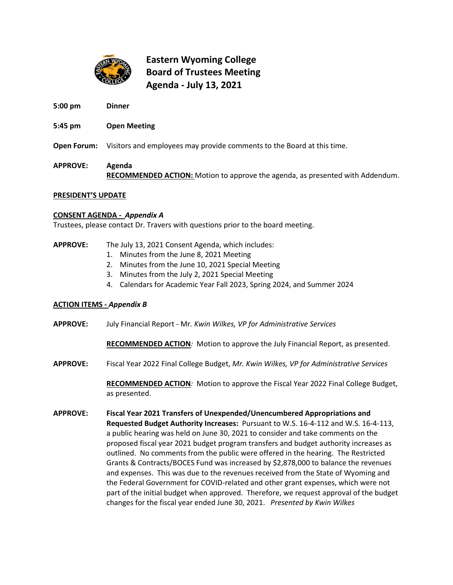

# **Eastern Wyoming College Board of Trustees Meeting Agenda - July 13, 2021**

**5:00 pm Dinner**

## **5:45 pm Open Meeting**

**Open Forum:** Visitors and employees may provide comments to the Board at this time.

**APPROVE: Agenda RECOMMENDED ACTION:** Motion to approve the agenda, as presented with Addendum.

### **PRESIDENT'S UPDATE**

### **CONSENT AGENDA -** *Appendix A*

Trustees, please contact Dr. Travers with questions prior to the board meeting.

#### **APPROVE:** The July 13, 2021 Consent Agenda, which includes:

- 1. Minutes from the June 8, 2021 Meeting
- 2. Minutes from the June 10, 2021 Special Meeting
- 3. Minutes from the July 2, 2021 Special Meeting
- 4. Calendars for Academic Year Fall 2023, Spring 2024, and Summer 2024

# **ACTION ITEMS -** *Appendix B*

**APPROVE:** July Financial Report - Mr*. Kwin Wilkes, VP for Administrative Services*

**RECOMMENDED ACTION***:* Motion to approve the July Financial Report, as presented.

**APPROVE:** Fiscal Year 2022 Final College Budget, *Mr. Kwin Wilkes, VP for Administrative Services*

**RECOMMENDED ACTION***:* Motion to approve the Fiscal Year 2022 Final College Budget, as presented.

**APPROVE: Fiscal Year 2021 Transfers of Unexpended/Unencumbered Appropriations and Requested Budget Authority Increases:** Pursuant to W.S. 16-4-112 and W.S. 16-4-113, a public hearing was held on June 30, 2021 to consider and take comments on the proposed fiscal year 2021 budget program transfers and budget authority increases as outlined. No comments from the public were offered in the hearing. The Restricted Grants & Contracts/BOCES Fund was increased by \$2,878,000 to balance the revenues and expenses. This was due to the revenues received from the State of Wyoming and the Federal Government for COVID-related and other grant expenses, which were not part of the initial budget when approved. Therefore, we request approval of the budget changes for the fiscal year ended June 30, 2021. *Presented by Kwin Wilkes*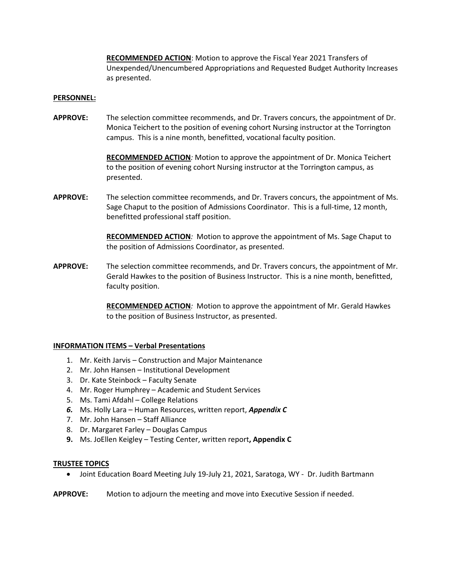**RECOMMENDED ACTION**: Motion to approve the Fiscal Year 2021 Transfers of Unexpended/Unencumbered Appropriations and Requested Budget Authority Increases as presented.

#### **PERSONNEL:**

**APPROVE:** The selection committee recommends, and Dr. Travers concurs, the appointment of Dr. Monica Teichert to the position of evening cohort Nursing instructor at the Torrington campus. This is a nine month, benefitted, vocational faculty position.

> **RECOMMENDED ACTION***:* Motion to approve the appointment of Dr. Monica Teichert to the position of evening cohort Nursing instructor at the Torrington campus, as presented.

**APPROVE:** The selection committee recommends, and Dr. Travers concurs, the appointment of Ms. Sage Chaput to the position of Admissions Coordinator. This is a full-time, 12 month, benefitted professional staff position.

> **RECOMMENDED ACTION***:* Motion to approve the appointment of Ms. Sage Chaput to the position of Admissions Coordinator, as presented.

**APPROVE:** The selection committee recommends, and Dr. Travers concurs, the appointment of Mr. Gerald Hawkes to the position of Business Instructor. This is a nine month, benefitted, faculty position.

> **RECOMMENDED ACTION***:* Motion to approve the appointment of Mr. Gerald Hawkes to the position of Business Instructor, as presented.

# **INFORMATION ITEMS – Verbal Presentations**

- 1. Mr. Keith Jarvis Construction and Major Maintenance
- 2. Mr. John Hansen Institutional Development
- 3. Dr. Kate Steinbock Faculty Senate
- 4. Mr. Roger Humphrey Academic and Student Services
- 5. Ms. Tami Afdahl College Relations
- *6.* Ms. Holly Lara Human Resources, written report, *Appendix C*
- 7. Mr. John Hansen Staff Alliance
- 8. Dr. Margaret Farley Douglas Campus
- **9.** Ms. JoEllen Keigley Testing Center, written report**, Appendix C**

#### **TRUSTEE TOPICS**

• Joint Education Board Meeting July 19-July 21, 2021, Saratoga, WY - Dr. Judith Bartmann

**APPROVE:** Motion to adjourn the meeting and move into Executive Session if needed.